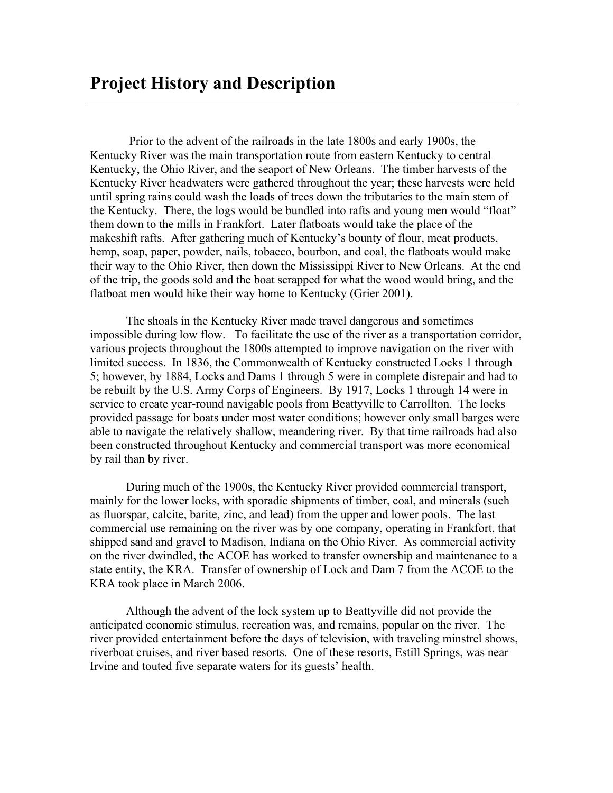Prior to the advent of the railroads in the late 1800s and early 1900s, the Kentucky River was the main transportation route from eastern Kentucky to central Kentucky, the Ohio River, and the seaport of New Orleans. The timber harvests of the Kentucky River headwaters were gathered throughout the year; these harvests were held until spring rains could wash the loads of trees down the tributaries to the main stem of the Kentucky. There, the logs would be bundled into rafts and young men would "float" them down to the mills in Frankfort. Later flatboats would take the place of the makeshift rafts. After gathering much of Kentucky's bounty of flour, meat products, hemp, soap, paper, powder, nails, tobacco, bourbon, and coal, the flatboats would make their way to the Ohio River, then down the Mississippi River to New Orleans. At the end of the trip, the goods sold and the boat scrapped for what the wood would bring, and the flatboat men would hike their way home to Kentucky (Grier 2001).

The shoals in the Kentucky River made travel dangerous and sometimes impossible during low flow. To facilitate the use of the river as a transportation corridor, various projects throughout the 1800s attempted to improve navigation on the river with limited success. In 1836, the Commonwealth of Kentucky constructed Locks 1 through 5; however, by 1884, Locks and Dams 1 through 5 were in complete disrepair and had to be rebuilt by the U.S. Army Corps of Engineers. By 1917, Locks 1 through 14 were in service to create year-round navigable pools from Beattyville to Carrollton. The locks provided passage for boats under most water conditions; however only small barges were able to navigate the relatively shallow, meandering river. By that time railroads had also been constructed throughout Kentucky and commercial transport was more economical by rail than by river.

During much of the 1900s, the Kentucky River provided commercial transport, mainly for the lower locks, with sporadic shipments of timber, coal, and minerals (such as fluorspar, calcite, barite, zinc, and lead) from the upper and lower pools. The last commercial use remaining on the river was by one company, operating in Frankfort, that shipped sand and gravel to Madison, Indiana on the Ohio River. As commercial activity on the river dwindled, the ACOE has worked to transfer ownership and maintenance to a state entity, the KRA. Transfer of ownership of Lock and Dam 7 from the ACOE to the KRA took place in March 2006.

Although the advent of the lock system up to Beattyville did not provide the anticipated economic stimulus, recreation was, and remains, popular on the river. The river provided entertainment before the days of television, with traveling minstrel shows, riverboat cruises, and river based resorts. One of these resorts, Estill Springs, was near Irvine and touted five separate waters for its guests' health.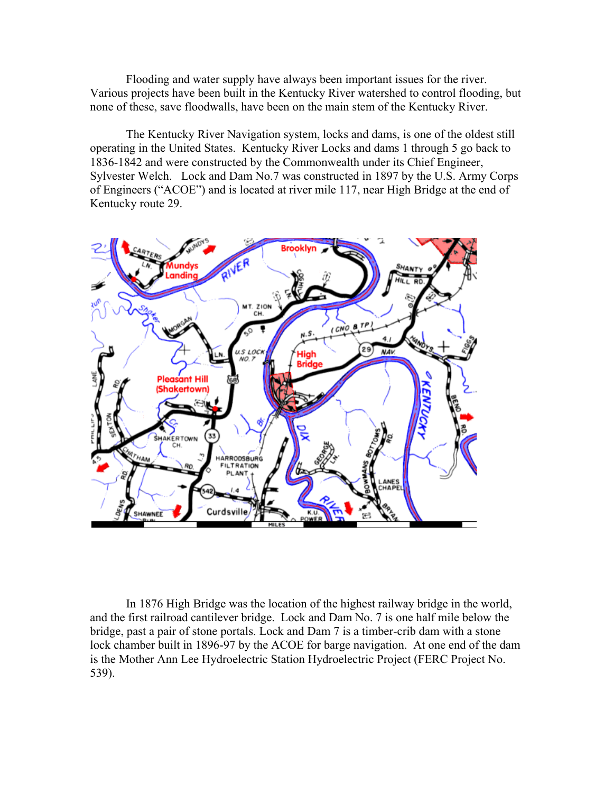Flooding and water supply have always been important issues for the river. Various projects have been built in the Kentucky River watershed to control flooding, but none of these, save floodwalls, have been on the main stem of the Kentucky River.

The Kentucky River Navigation system, locks and dams, is one of the oldest still operating in the United States. Kentucky River Locks and dams 1 through 5 go back to 1836-1842 and were constructed by the Commonwealth under its Chief Engineer, Sylvester Welch. Lock and Dam No.7 was constructed in 1897 by the U.S. Army Corps of Engineers ("ACOE") and is located at river mile 117, near High Bridge at the end of Kentucky route 29.



In 1876 High Bridge was the location of the highest railway bridge in the world, and the first railroad cantilever bridge. Lock and Dam No. 7 is one half mile below the bridge, past a pair of stone portals. Lock and Dam 7 is a timber-crib dam with a stone lock chamber built in 1896-97 by the ACOE for barge navigation. At one end of the dam is the Mother Ann Lee Hydroelectric Station Hydroelectric Project (FERC Project No. 539).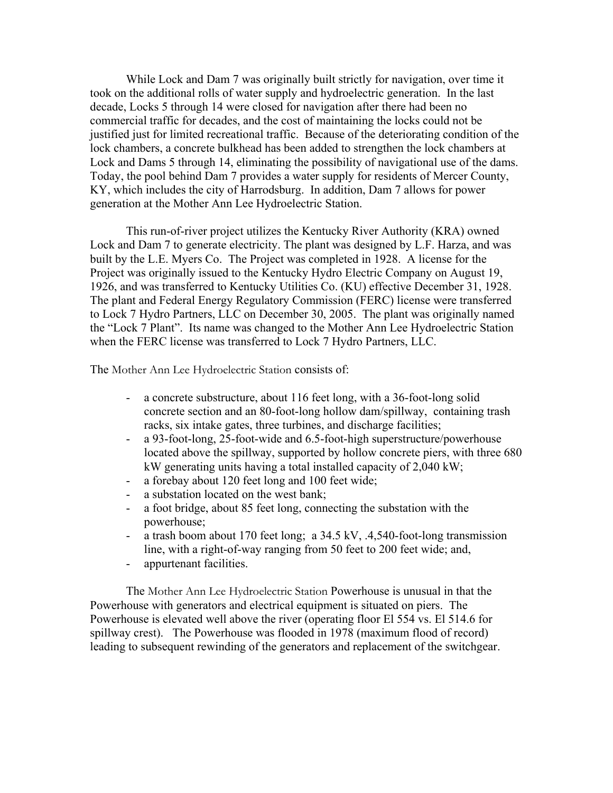While Lock and Dam 7 was originally built strictly for navigation, over time it took on the additional rolls of water supply and hydroelectric generation. In the last decade, Locks 5 through 14 were closed for navigation after there had been no commercial traffic for decades, and the cost of maintaining the locks could not be justified just for limited recreational traffic. Because of the deteriorating condition of the lock chambers, a concrete bulkhead has been added to strengthen the lock chambers at Lock and Dams 5 through 14, eliminating the possibility of navigational use of the dams. Today, the pool behind Dam 7 provides a water supply for residents of Mercer County, KY, which includes the city of Harrodsburg. In addition, Dam 7 allows for power generation at the Mother Ann Lee Hydroelectric Station.

This run-of-river project utilizes the Kentucky River Authority (KRA) owned Lock and Dam 7 to generate electricity. The plant was designed by L.F. Harza, and was built by the L.E. Myers Co. The Project was completed in 1928. A license for the Project was originally issued to the Kentucky Hydro Electric Company on August 19, 1926, and was transferred to Kentucky Utilities Co. (KU) effective December 31, 1928. The plant and Federal Energy Regulatory Commission (FERC) license were transferred to Lock 7 Hydro Partners, LLC on December 30, 2005. The plant was originally named the "Lock 7 Plant". Its name was changed to the Mother Ann Lee Hydroelectric Station when the FERC license was transferred to Lock 7 Hydro Partners, LLC.

The Mother Ann Lee Hydroelectric Station consists of:

- a concrete substructure, about 116 feet long, with a 36-foot-long solid concrete section and an 80-foot-long hollow dam/spillway, containing trash racks, six intake gates, three turbines, and discharge facilities;
- a 93-foot-long, 25-foot-wide and 6.5-foot-high superstructure/powerhouse located above the spillway, supported by hollow concrete piers, with three 680 kW generating units having a total installed capacity of 2,040 kW;
- a forebay about 120 feet long and 100 feet wide;
- a substation located on the west bank;
- a foot bridge, about 85 feet long, connecting the substation with the powerhouse;
- a trash boom about 170 feet long; a 34.5 kV, .4,540-foot-long transmission line, with a right-of-way ranging from 50 feet to 200 feet wide; and,
- appurtenant facilities.

The Mother Ann Lee Hydroelectric Station Powerhouse is unusual in that the Powerhouse with generators and electrical equipment is situated on piers. The Powerhouse is elevated well above the river (operating floor El 554 vs. El 514.6 for spillway crest). The Powerhouse was flooded in 1978 (maximum flood of record) leading to subsequent rewinding of the generators and replacement of the switchgear.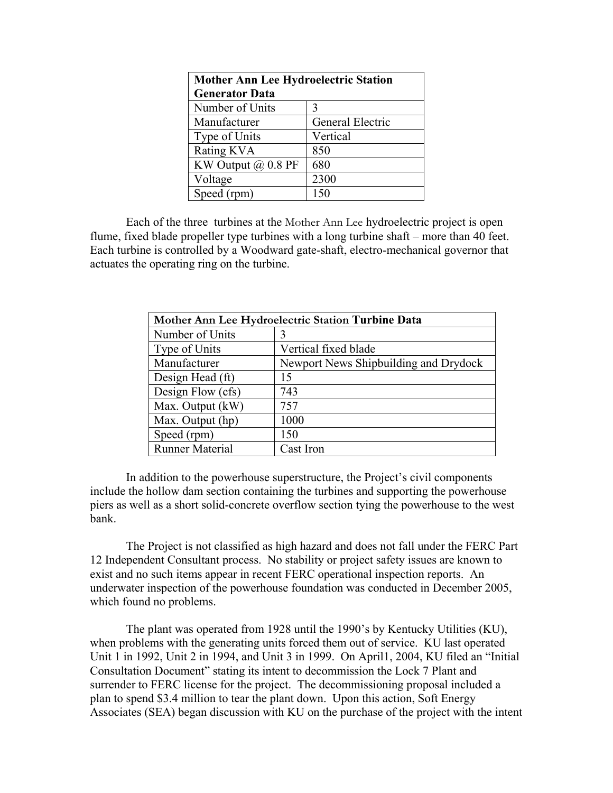| <b>Mother Ann Lee Hydroelectric Station</b> |                  |
|---------------------------------------------|------------------|
| <b>Generator Data</b>                       |                  |
| Number of Units                             | 3                |
| Manufacturer                                | General Electric |
| Type of Units                               | Vertical         |
| Rating KVA                                  | 850              |
| KW Output $(a)$ 0.8 PF                      | 680              |
| Voltage                                     | 2300             |
| Speed (rpm)                                 | 150              |

Each of the three turbines at the Mother Ann Lee hydroelectric project is open flume, fixed blade propeller type turbines with a long turbine shaft – more than 40 feet. Each turbine is controlled by a Woodward gate-shaft, electro-mechanical governor that actuates the operating ring on the turbine.

| Mother Ann Lee Hydroelectric Station Turbine Data |                                       |
|---------------------------------------------------|---------------------------------------|
| Number of Units                                   |                                       |
| Type of Units                                     | Vertical fixed blade                  |
| Manufacturer                                      | Newport News Shipbuilding and Drydock |
| Design Head (ft)                                  | 15                                    |
| Design Flow (cfs)                                 | 743                                   |
| Max. Output (kW)                                  | 757                                   |
| Max. Output (hp)                                  | 1000                                  |
| Speed (rpm)                                       | 150                                   |
| <b>Runner Material</b>                            | Cast Iron                             |

In addition to the powerhouse superstructure, the Project's civil components include the hollow dam section containing the turbines and supporting the powerhouse piers as well as a short solid-concrete overflow section tying the powerhouse to the west bank.

The Project is not classified as high hazard and does not fall under the FERC Part 12 Independent Consultant process. No stability or project safety issues are known to exist and no such items appear in recent FERC operational inspection reports. An underwater inspection of the powerhouse foundation was conducted in December 2005, which found no problems.

 The plant was operated from 1928 until the 1990's by Kentucky Utilities (KU), when problems with the generating units forced them out of service. KU last operated Unit 1 in 1992, Unit 2 in 1994, and Unit 3 in 1999. On April1, 2004, KU filed an "Initial Consultation Document" stating its intent to decommission the Lock 7 Plant and surrender to FERC license for the project. The decommissioning proposal included a plan to spend \$3.4 million to tear the plant down. Upon this action, Soft Energy Associates (SEA) began discussion with KU on the purchase of the project with the intent